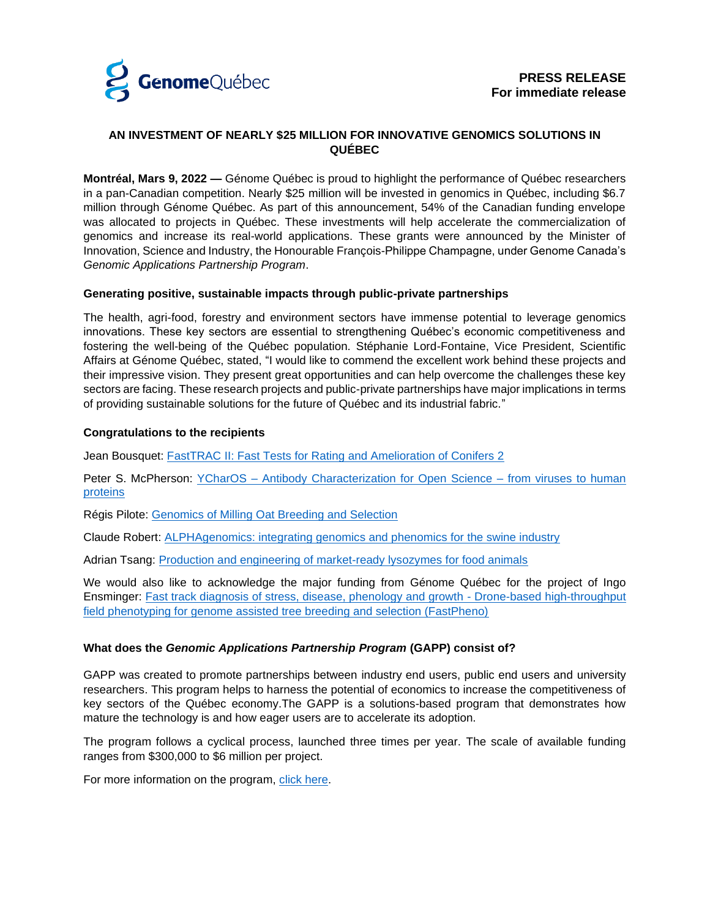

# **AN INVESTMENT OF NEARLY \$25 MILLION FOR INNOVATIVE GENOMICS SOLUTIONS IN QUÉBEC**

**Montréal, Mars 9, 2022 —** Génome Québec is proud to highlight the performance of Québec researchers in a pan-Canadian competition. Nearly \$25 million will be invested in genomics in Québec, including \$6.7 million through Génome Québec. As part of this announcement, 54% of the Canadian funding envelope was allocated to projects in Québec. These investments will help accelerate the commercialization of genomics and increase its real-world applications. These grants were announced by the Minister of Innovation, Science and Industry, the Honourable François-Philippe Champagne, under Genome Canada's *Genomic Applications Partnership Program*.

## **Generating positive, sustainable impacts through public-private partnerships**

The health, agri-food, forestry and environment sectors have immense potential to leverage genomics innovations. These key sectors are essential to strengthening Québec's economic competitiveness and fostering the well-being of the Québec population. Stéphanie Lord-Fontaine, Vice President, Scientific Affairs at Génome Québec, stated, "I would like to commend the excellent work behind these projects and their impressive vision. They present great opportunities and can help overcome the challenges these key sectors are facing. These research projects and public-private partnerships have major implications in terms of providing sustainable solutions for the future of Québec and its industrial fabric."

#### **Congratulations to the recipients**

Jean Bousquet: FastTRAC [II: Fast Tests for Rating and Amelioration of Conifers 2](https://www.genomequebec.com/281-en/project/fasttrac2-fast-tests-for-rating-and-amelioration-of-conifers-2/)

Peter S. McPherson: YCharOS – [Antibody Characterization for Open Science –](https://www.genomequebec.com/283-en/project/ycharos-antibody-characterization-for-open-science-from-viruses-to-human-proteins/) from viruses to human [proteins](https://www.genomequebec.com/283-en/project/ycharos-antibody-characterization-for-open-science-from-viruses-to-human-proteins/)

Régis Pilote: [Genomics of Milling Oat Breeding and Selection](https://www.genomequebec.com/279-en/project/genomics-of-milling-oat-breeding-and-selection/)

Claude Robert: [ALPHAgenomics: integrating genomics and phenomics for the swine industry](https://www.genomequebec.com/277-en/project/alphagenomics-integrating-genomics-and-phenomics-for-the-swine-industry/)

Adrian Tsang: [Production and engineering of market-ready lysozymes for food animals](https://www.genomequebec.com/282-en/project/production-and-engineering-of-market-ready-lysozymes-for-food-animals/)

We would also like to acknowledge the major funding from Génome Québec for the project of Ingo Ensminger: [Fast track diagnosis of stress, disease, phenology and growth -](https://www.genomequebec.com/284-en/project/fast-track-diagnosis-of-stress-disease-phenology-and-growth-drone-based-high-throughput-field-phenotyping-for-genome-assisted-tree-breeding-and-selection-fastpheno-/) Drone-based high-throughput [field phenotyping for genome assisted tree breeding and selection \(FastPheno\)](https://www.genomequebec.com/284-en/project/fast-track-diagnosis-of-stress-disease-phenology-and-growth-drone-based-high-throughput-field-phenotyping-for-genome-assisted-tree-breeding-and-selection-fastpheno-/)

## **What does the** *Genomic Applications Partnership Program* **(GAPP) consist of?**

GAPP was created to promote partnerships between industry end users, public end users and university researchers. This program helps to harness the potential of economics to increase the competitiveness of key sectors of the Québec economy.The GAPP is a solutions-based program that demonstrates how mature the technology is and how eager users are to accelerate its adoption.

The program follows a cyclical process, launched three times per year. The scale of available funding ranges from \$300,000 to \$6 million per project.

For more information on the program, [click here.](https://www.genomequebec.com/39-contests-genome-canada-competition-genomic-applications-partnership-program-gapp-/)